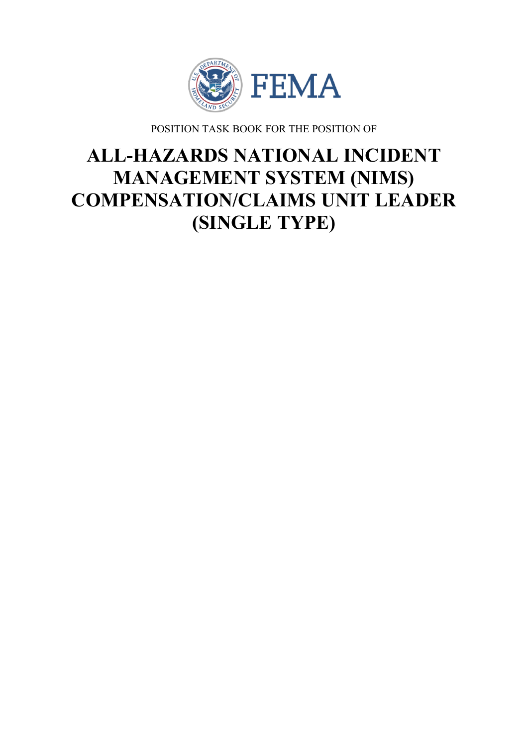

POSITION TASK BOOK FOR THE POSITION OF

# **ALL-HAZARDS NATIONAL INCIDENT MANAGEMENT SYSTEM (NIMS) COMPENSATION/CLAIMS UNIT LEADER (SINGLE TYPE)**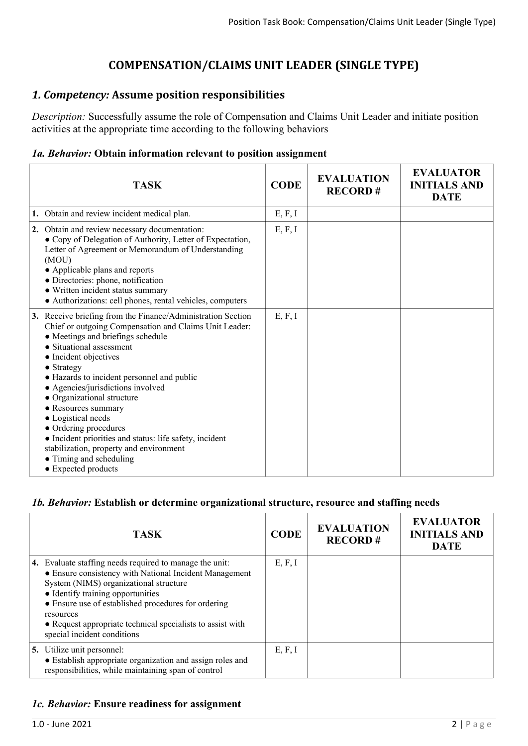# **COMPENSATION/CLAIMS UNIT LEADER (SINGLE TYPE)**

# *1. Competency:* **Assume position responsibilities**

*Description:* Successfully assume the role of Compensation and Claims Unit Leader and initiate position activities at the appropriate time according to the following behaviors

#### *1a. Behavior:* **Obtain information relevant to position assignment**

| <b>TASK</b>                                                                                                                                                                                                                                                                                                                                                                                                                                                                                                                                                                          | <b>CODE</b> | <b>EVALUATION</b><br><b>RECORD#</b> | <b>EVALUATOR</b><br><b>INITIALS AND</b><br><b>DATE</b> |
|--------------------------------------------------------------------------------------------------------------------------------------------------------------------------------------------------------------------------------------------------------------------------------------------------------------------------------------------------------------------------------------------------------------------------------------------------------------------------------------------------------------------------------------------------------------------------------------|-------------|-------------------------------------|--------------------------------------------------------|
| 1. Obtain and review incident medical plan.                                                                                                                                                                                                                                                                                                                                                                                                                                                                                                                                          | E, F, I     |                                     |                                                        |
| 2. Obtain and review necessary documentation:<br>• Copy of Delegation of Authority, Letter of Expectation,<br>Letter of Agreement or Memorandum of Understanding<br>(MOU)<br>• Applicable plans and reports<br>• Directories: phone, notification<br>• Written incident status summary<br>• Authorizations: cell phones, rental vehicles, computers                                                                                                                                                                                                                                  | E, F, I     |                                     |                                                        |
| 3. Receive briefing from the Finance/Administration Section<br>Chief or outgoing Compensation and Claims Unit Leader:<br>• Meetings and briefings schedule<br>• Situational assessment<br>• Incident objectives<br>$\bullet$ Strategy<br>• Hazards to incident personnel and public<br>• Agencies/jurisdictions involved<br>• Organizational structure<br>• Resources summary<br>• Logistical needs<br>• Ordering procedures<br>• Incident priorities and status: life safety, incident<br>stabilization, property and environment<br>• Timing and scheduling<br>• Expected products | E, F, I     |                                     |                                                        |

#### *1b. Behavior:* **Establish or determine organizational structure, resource and staffing needs**

| <b>TASK</b>                                                                                                                                                                                                                                                                                                                                                       | <b>CODE</b> | <b>EVALUATION</b><br><b>RECORD#</b> | <b>EVALUATOR</b><br><b>INITIALS AND</b><br><b>DATE</b> |
|-------------------------------------------------------------------------------------------------------------------------------------------------------------------------------------------------------------------------------------------------------------------------------------------------------------------------------------------------------------------|-------------|-------------------------------------|--------------------------------------------------------|
| 4. Evaluate staffing needs required to manage the unit:<br>• Ensure consistency with National Incident Management<br>System (NIMS) organizational structure<br>• Identify training opportunities<br>• Ensure use of established procedures for ordering<br>resources<br>• Request appropriate technical specialists to assist with<br>special incident conditions | E, F, I     |                                     |                                                        |
| <b>5.</b> Utilize unit personnel:<br>• Establish appropriate organization and assign roles and<br>responsibilities, while maintaining span of control                                                                                                                                                                                                             | E, F, I     |                                     |                                                        |

#### *1c. Behavior:* **Ensure readiness for assignment**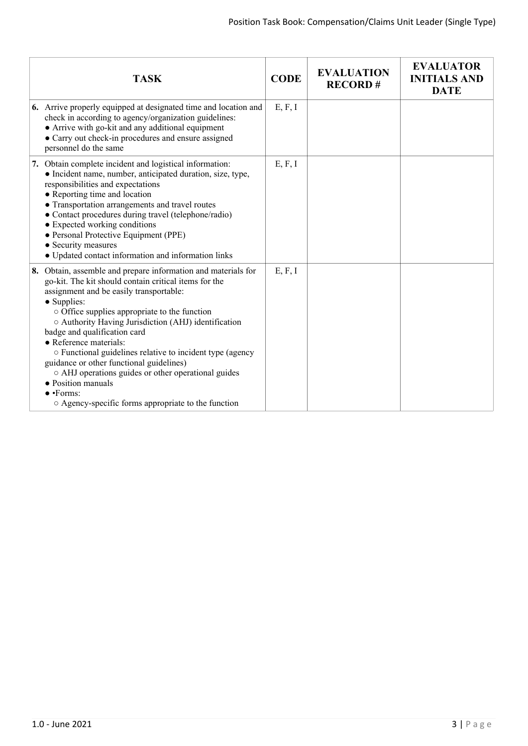| <b>TASK</b>                                                                                                                                                                                                                                                                                                                                                                                                                                                                                                                                                                                                                  | <b>CODE</b> | <b>EVALUATION</b><br><b>RECORD#</b> | <b>EVALUATOR</b><br><b>INITIALS AND</b><br><b>DATE</b> |
|------------------------------------------------------------------------------------------------------------------------------------------------------------------------------------------------------------------------------------------------------------------------------------------------------------------------------------------------------------------------------------------------------------------------------------------------------------------------------------------------------------------------------------------------------------------------------------------------------------------------------|-------------|-------------------------------------|--------------------------------------------------------|
| 6. Arrive properly equipped at designated time and location and<br>check in according to agency/organization guidelines:<br>• Arrive with go-kit and any additional equipment<br>• Carry out check-in procedures and ensure assigned<br>personnel do the same                                                                                                                                                                                                                                                                                                                                                                | E, F, I     |                                     |                                                        |
| 7. Obtain complete incident and logistical information:<br>• Incident name, number, anticipated duration, size, type,<br>responsibilities and expectations<br>• Reporting time and location<br>• Transportation arrangements and travel routes<br>• Contact procedures during travel (telephone/radio)<br>• Expected working conditions<br>• Personal Protective Equipment (PPE)<br>• Security measures<br>• Updated contact information and information links                                                                                                                                                               | E, F, I     |                                     |                                                        |
| 8. Obtain, assemble and prepare information and materials for<br>go-kit. The kit should contain critical items for the<br>assignment and be easily transportable:<br>• Supplies:<br>$\circ$ Office supplies appropriate to the function<br>○ Authority Having Jurisdiction (AHJ) identification<br>badge and qualification card<br>• Reference materials:<br>o Functional guidelines relative to incident type (agency<br>guidance or other functional guidelines)<br>○ AHJ operations guides or other operational guides<br>· Position manuals<br>$\bullet$ • Forms:<br>○ Agency-specific forms appropriate to the function | E, F, I     |                                     |                                                        |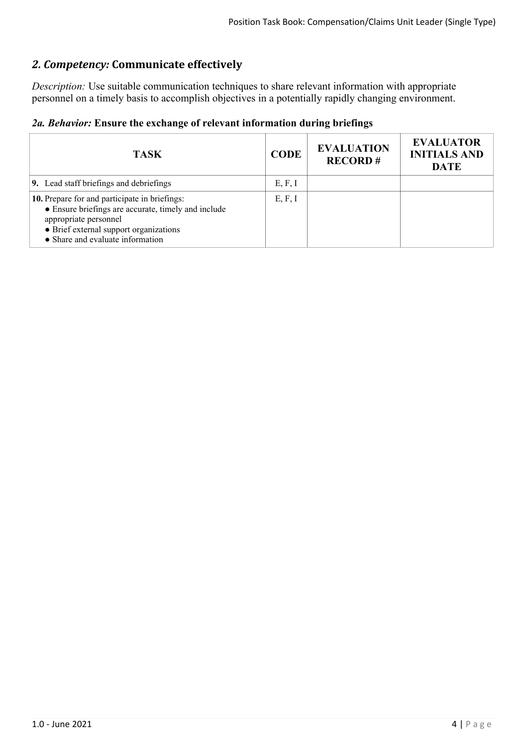# *2. Competency:* **Communicate effectively**

*Description:* Use suitable communication techniques to share relevant information with appropriate personnel on a timely basis to accomplish objectives in a potentially rapidly changing environment.

|  |  |  |  |  | 2a. Behavior: Ensure the exchange of relevant information during briefings |  |  |
|--|--|--|--|--|----------------------------------------------------------------------------|--|--|
|--|--|--|--|--|----------------------------------------------------------------------------|--|--|

| <b>TASK</b>                                                                                                                                                                                                 | <b>CODE</b> | <b>EVALUATION</b><br><b>RECORD#</b> | <b>EVALUATOR</b><br><b>INITIALS AND</b><br><b>DATE</b> |
|-------------------------------------------------------------------------------------------------------------------------------------------------------------------------------------------------------------|-------------|-------------------------------------|--------------------------------------------------------|
| 9. Lead staff briefings and debriefings                                                                                                                                                                     | E, F, I     |                                     |                                                        |
| 10. Prepare for and participate in briefings:<br>• Ensure briefings are accurate, timely and include<br>appropriate personnel<br>• Brief external support organizations<br>• Share and evaluate information |             |                                     |                                                        |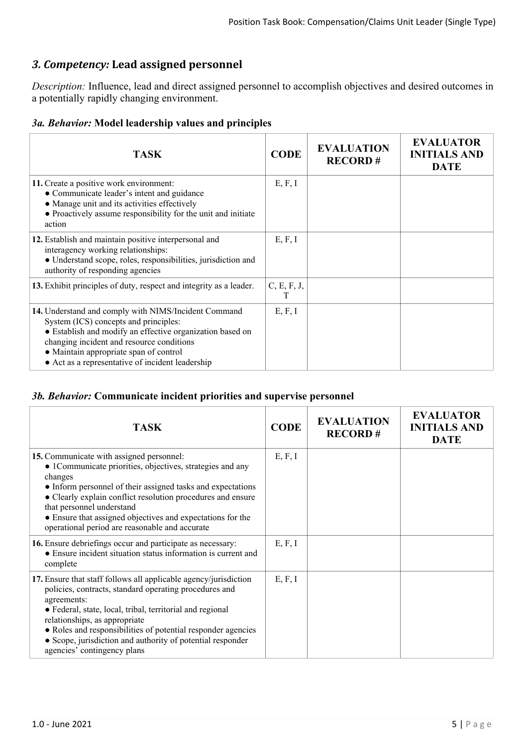# *3. Competency:* **Lead assigned personnel**

*Description:* Influence, lead and direct assigned personnel to accomplish objectives and desired outcomes in a potentially rapidly changing environment.

| 3a. Behavior: Model leadership values and principles |  |  |  |  |  |  |  |
|------------------------------------------------------|--|--|--|--|--|--|--|
|------------------------------------------------------|--|--|--|--|--|--|--|

| <b>TASK</b>                                                                                                                                                                                                                                                                                           | <b>CODE</b>      | <b>EVALUATION</b><br><b>RECORD#</b> | <b>EVALUATOR</b><br><b>INITIALS AND</b><br><b>DATE</b> |
|-------------------------------------------------------------------------------------------------------------------------------------------------------------------------------------------------------------------------------------------------------------------------------------------------------|------------------|-------------------------------------|--------------------------------------------------------|
| 11. Create a positive work environment:<br>• Communicate leader's intent and guidance<br>• Manage unit and its activities effectively<br>• Proactively assume responsibility for the unit and initiate<br>action                                                                                      | E, F, I          |                                     |                                                        |
| 12. Establish and maintain positive interpersonal and<br>interagency working relationships:<br>• Understand scope, roles, responsibilities, jurisdiction and<br>authority of responding agencies                                                                                                      | E, F, I          |                                     |                                                        |
| 13. Exhibit principles of duty, respect and integrity as a leader.                                                                                                                                                                                                                                    | C, E, F, J,<br>T |                                     |                                                        |
| 14. Understand and comply with NIMS/Incident Command<br>System (ICS) concepts and principles:<br>• Establish and modify an effective organization based on<br>changing incident and resource conditions<br>• Maintain appropriate span of control<br>• Act as a representative of incident leadership | E, F, I          |                                     |                                                        |

#### *3b. Behavior:* **Communicate incident priorities and supervise personnel**

| <b>TASK</b>                                                                                                                                                                                                                                                                                                                                                                                          | <b>CODE</b> | <b>EVALUATION</b><br><b>RECORD#</b> | <b>EVALUATOR</b><br><b>INITIALS AND</b><br><b>DATE</b> |
|------------------------------------------------------------------------------------------------------------------------------------------------------------------------------------------------------------------------------------------------------------------------------------------------------------------------------------------------------------------------------------------------------|-------------|-------------------------------------|--------------------------------------------------------|
| 15. Communicate with assigned personnel:<br>• 1 Communicate priorities, objectives, strategies and any<br>changes<br>• Inform personnel of their assigned tasks and expectations<br>• Clearly explain conflict resolution procedures and ensure<br>that personnel understand<br>• Ensure that assigned objectives and expectations for the<br>operational period are reasonable and accurate         | E, F, I     |                                     |                                                        |
| 16. Ensure debriefings occur and participate as necessary:<br>• Ensure incident situation status information is current and<br>complete                                                                                                                                                                                                                                                              | E, F, I     |                                     |                                                        |
| 17. Ensure that staff follows all applicable agency/jurisdiction<br>policies, contracts, standard operating procedures and<br>agreements:<br>• Federal, state, local, tribal, territorial and regional<br>relationships, as appropriate<br>• Roles and responsibilities of potential responder agencies<br>• Scope, jurisdiction and authority of potential responder<br>agencies' contingency plans | E, F, I     |                                     |                                                        |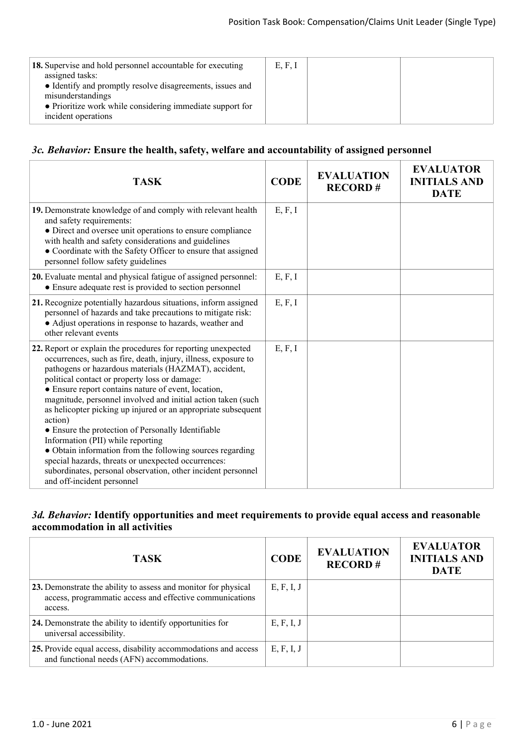| <b>18.</b> Supervise and hold personnel accountable for executing<br>assigned tasks:<br>• Identify and promptly resolve disagreements, issues and<br>misunderstandings<br>• Prioritize work while considering immediate support for | E, F, I |  |
|-------------------------------------------------------------------------------------------------------------------------------------------------------------------------------------------------------------------------------------|---------|--|
| incident operations                                                                                                                                                                                                                 |         |  |
|                                                                                                                                                                                                                                     |         |  |

## *3c. Behavior:* **Ensure the health, safety, welfare and accountability of assigned personnel**

| <b>TASK</b>                                                                                                                                                                                                                                                                                                                                                                                                                                                                                                                                                                                                                                                                                                                                              | <b>CODE</b> | <b>EVALUATION</b><br><b>RECORD#</b> | <b>EVALUATOR</b><br><b>INITIALS AND</b><br><b>DATE</b> |
|----------------------------------------------------------------------------------------------------------------------------------------------------------------------------------------------------------------------------------------------------------------------------------------------------------------------------------------------------------------------------------------------------------------------------------------------------------------------------------------------------------------------------------------------------------------------------------------------------------------------------------------------------------------------------------------------------------------------------------------------------------|-------------|-------------------------------------|--------------------------------------------------------|
| 19. Demonstrate knowledge of and comply with relevant health<br>and safety requirements:<br>• Direct and oversee unit operations to ensure compliance<br>with health and safety considerations and guidelines<br>• Coordinate with the Safety Officer to ensure that assigned<br>personnel follow safety guidelines                                                                                                                                                                                                                                                                                                                                                                                                                                      | E, F, I     |                                     |                                                        |
| 20. Evaluate mental and physical fatigue of assigned personnel:<br>• Ensure adequate rest is provided to section personnel                                                                                                                                                                                                                                                                                                                                                                                                                                                                                                                                                                                                                               | E, F, I     |                                     |                                                        |
| 21. Recognize potentially hazardous situations, inform assigned<br>personnel of hazards and take precautions to mitigate risk:<br>• Adjust operations in response to hazards, weather and<br>other relevant events                                                                                                                                                                                                                                                                                                                                                                                                                                                                                                                                       | E, F, I     |                                     |                                                        |
| 22. Report or explain the procedures for reporting unexpected<br>occurrences, such as fire, death, injury, illness, exposure to<br>pathogens or hazardous materials (HAZMAT), accident,<br>political contact or property loss or damage:<br>• Ensure report contains nature of event, location,<br>magnitude, personnel involved and initial action taken (such<br>as helicopter picking up injured or an appropriate subsequent<br>action)<br>• Ensure the protection of Personally Identifiable<br>Information (PII) while reporting<br>• Obtain information from the following sources regarding<br>special hazards, threats or unexpected occurrences:<br>subordinates, personal observation, other incident personnel<br>and off-incident personnel | E, F, I     |                                     |                                                        |

### *3d. Behavior:* **Identify opportunities and meet requirements to provide equal access and reasonable accommodation in all activities**

| <b>TASK</b>                                                                                                                           | <b>CODE</b> | <b>EVALUATION</b><br><b>RECORD#</b> | <b>EVALUATOR</b><br><b>INITIALS AND</b><br><b>DATE</b> |
|---------------------------------------------------------------------------------------------------------------------------------------|-------------|-------------------------------------|--------------------------------------------------------|
| 23. Demonstrate the ability to assess and monitor for physical<br>access, programmatic access and effective communications<br>access. | E, F, I, J  |                                     |                                                        |
| 24. Demonstrate the ability to identify opportunities for<br>universal accessibility.                                                 | E, F, I, J  |                                     |                                                        |
| 25. Provide equal access, disability accommodations and access<br>and functional needs (AFN) accommodations.                          | E, F, I, J  |                                     |                                                        |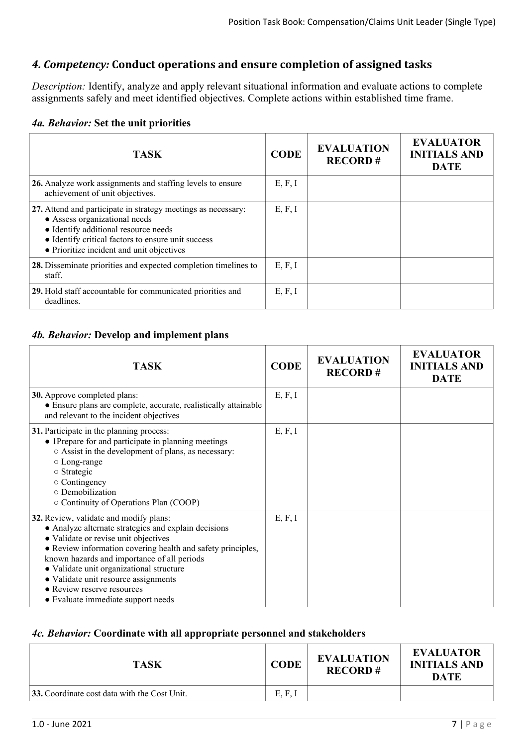# *4. Competency:* **Conduct operations and ensure completion of assigned tasks**

*Description:* Identify, analyze and apply relevant situational information and evaluate actions to complete assignments safely and meet identified objectives. Complete actions within established time frame.

#### *4a. Behavior:* **Set the unit priorities**

| <b>TASK</b>                                                                                                                                                                                                                               | <b>CODE</b> | <b>EVALUATION</b><br><b>RECORD#</b> | <b>EVALUATOR</b><br><b>INITIALS AND</b><br><b>DATE</b> |
|-------------------------------------------------------------------------------------------------------------------------------------------------------------------------------------------------------------------------------------------|-------------|-------------------------------------|--------------------------------------------------------|
| 26. Analyze work assignments and staffing levels to ensure<br>achievement of unit objectives.                                                                                                                                             | E, F, I     |                                     |                                                        |
| 27. Attend and participate in strategy meetings as necessary:<br>• Assess organizational needs<br>• Identify additional resource needs<br>• Identify critical factors to ensure unit success<br>• Prioritize incident and unit objectives | E, F, I     |                                     |                                                        |
| 28. Disseminate priorities and expected completion timelines to<br>staff.                                                                                                                                                                 | E, F, I     |                                     |                                                        |
| 29. Hold staff accountable for communicated priorities and<br>deadlines.                                                                                                                                                                  | E, F, I     |                                     |                                                        |

#### *4b. Behavior:* **Develop and implement plans**

| <b>TASK</b>                                                                                                                                                                                                                                                                                                                                                                                                  | <b>CODE</b> | <b>EVALUATION</b><br><b>RECORD#</b> | <b>EVALUATOR</b><br><b>INITIALS AND</b><br><b>DATE</b> |
|--------------------------------------------------------------------------------------------------------------------------------------------------------------------------------------------------------------------------------------------------------------------------------------------------------------------------------------------------------------------------------------------------------------|-------------|-------------------------------------|--------------------------------------------------------|
| <b>30.</b> Approve completed plans:<br>• Ensure plans are complete, accurate, realistically attainable<br>and relevant to the incident objectives                                                                                                                                                                                                                                                            | E, F, I     |                                     |                                                        |
| 31. Participate in the planning process:<br>• 1 Prepare for and participate in planning meetings<br>○ Assist in the development of plans, as necessary:<br>$\circ$ Long-range<br>o Strategic<br>$\circ$ Contingency<br>o Demobilization<br>○ Continuity of Operations Plan (COOP)                                                                                                                            | E, F, I     |                                     |                                                        |
| 32. Review, validate and modify plans:<br>• Analyze alternate strategies and explain decisions<br>· Validate or revise unit objectives<br>• Review information covering health and safety principles,<br>known hazards and importance of all periods<br>· Validate unit organizational structure<br>• Validate unit resource assignments<br>• Review reserve resources<br>• Evaluate immediate support needs | E, F, I     |                                     |                                                        |

#### *4c. Behavior:* **Coordinate with all appropriate personnel and stakeholders**

| <b>TASK</b>                                  | <b>CODE</b> | <b>EVALUATION</b><br><b>RECORD#</b> | <b>EVALUATOR</b><br><b>INITIALS AND</b><br>DATE |
|----------------------------------------------|-------------|-------------------------------------|-------------------------------------------------|
| 33. Coordinate cost data with the Cost Unit. | E, F, I     |                                     |                                                 |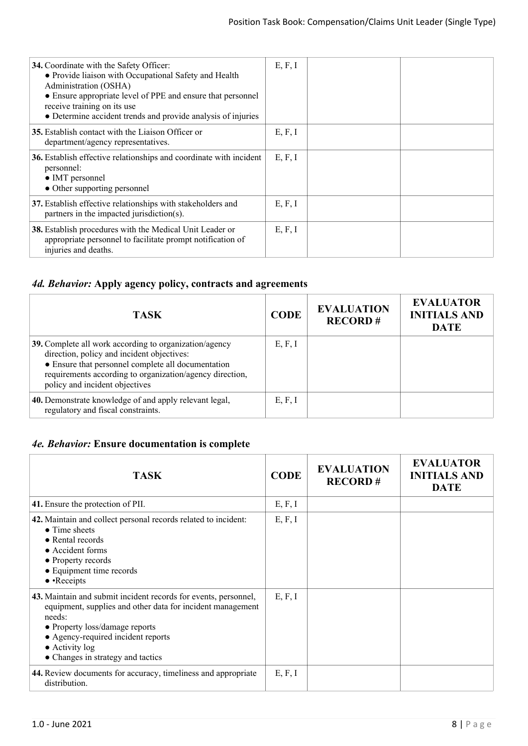| 34. Coordinate with the Safety Officer:<br>• Provide liaison with Occupational Safety and Health<br>Administration (OSHA)<br>• Ensure appropriate level of PPE and ensure that personnel<br>receive training on its use<br>• Determine accident trends and provide analysis of injuries | E, F, I |  |
|-----------------------------------------------------------------------------------------------------------------------------------------------------------------------------------------------------------------------------------------------------------------------------------------|---------|--|
| <b>35.</b> Establish contact with the Liaison Officer or<br>department/agency representatives.                                                                                                                                                                                          | E, F, I |  |
| 36. Establish effective relationships and coordinate with incident<br>personnel:<br>• IMT personnel<br>• Other supporting personnel                                                                                                                                                     | E, F, I |  |
| 37. Establish effective relationships with stakeholders and<br>partners in the impacted jurisdiction(s).                                                                                                                                                                                | E, F, I |  |
| 38. Establish procedures with the Medical Unit Leader or<br>appropriate personnel to facilitate prompt notification of<br>injuries and deaths.                                                                                                                                          | E, F, I |  |

# *4d. Behavior:* **Apply agency policy, contracts and agreements**

| TASK.                                                                                                                                                                                                                                                    | <b>CODE</b> | <b>EVALUATION</b><br><b>RECORD#</b> | <b>EVALUATOR</b><br><b>INITIALS AND</b><br><b>DATE</b> |
|----------------------------------------------------------------------------------------------------------------------------------------------------------------------------------------------------------------------------------------------------------|-------------|-------------------------------------|--------------------------------------------------------|
| 39. Complete all work according to organization/agency<br>direction, policy and incident objectives:<br>• Ensure that personnel complete all documentation<br>requirements according to organization/agency direction,<br>policy and incident objectives | E, F, I     |                                     |                                                        |
| 40. Demonstrate knowledge of and apply relevant legal,<br>regulatory and fiscal constraints.                                                                                                                                                             | E, F, I     |                                     |                                                        |

## *4e. Behavior:* **Ensure documentation is complete**

| <b>TASK</b>                                                                                                                                                                                                                                                            | <b>CODE</b> | <b>EVALUATION</b><br><b>RECORD#</b> | <b>EVALUATOR</b><br><b>INITIALS AND</b><br><b>DATE</b> |
|------------------------------------------------------------------------------------------------------------------------------------------------------------------------------------------------------------------------------------------------------------------------|-------------|-------------------------------------|--------------------------------------------------------|
| 41. Ensure the protection of PII.                                                                                                                                                                                                                                      | E, F, I     |                                     |                                                        |
| 42. Maintain and collect personal records related to incident:<br>$\bullet$ Time sheets<br>• Rental records<br>• Accident forms<br>• Property records<br>• Equipment time records<br>$\bullet$ • Receipts                                                              | E, F, I     |                                     |                                                        |
| 43. Maintain and submit incident records for events, personnel,<br>equipment, supplies and other data for incident management<br>needs:<br>• Property loss/damage reports<br>• Agency-required incident reports<br>• Activity log<br>• Changes in strategy and tactics | E, F, I     |                                     |                                                        |
| 44. Review documents for accuracy, timeliness and appropriate<br>distribution.                                                                                                                                                                                         | E, F, I     |                                     |                                                        |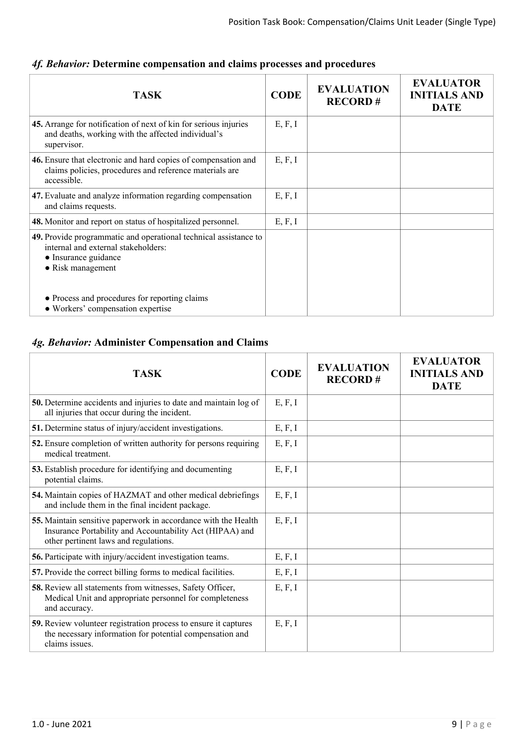| <b>TASK</b>                                                                                                                                          | <b>CODE</b> | <b>EVALUATION</b><br><b>RECORD#</b> | <b>EVALUATOR</b><br><b>INITIALS AND</b><br><b>DATE</b> |
|------------------------------------------------------------------------------------------------------------------------------------------------------|-------------|-------------------------------------|--------------------------------------------------------|
| 45. Arrange for notification of next of kin for serious injuries<br>and deaths, working with the affected individual's<br>supervisor.                | E, F, I     |                                     |                                                        |
| 46. Ensure that electronic and hard copies of compensation and<br>claims policies, procedures and reference materials are<br>accessible.             | E, F, I     |                                     |                                                        |
| 47. Evaluate and analyze information regarding compensation<br>and claims requests.                                                                  | E, F, I     |                                     |                                                        |
| <b>48.</b> Monitor and report on status of hospitalized personnel.                                                                                   | E, F, I     |                                     |                                                        |
| 49. Provide programmatic and operational technical assistance to<br>internal and external stakeholders:<br>• Insurance guidance<br>• Risk management |             |                                     |                                                        |
| • Process and procedures for reporting claims<br>• Workers' compensation expertise                                                                   |             |                                     |                                                        |

#### *4f. Behavior:* **Determine compensation and claims processes and procedures**

## *4g. Behavior:* **Administer Compensation and Claims**

| <b>TASK</b>                                                                                                                                                         | <b>CODE</b> | <b>EVALUATION</b><br><b>RECORD#</b> | <b>EVALUATOR</b><br><b>INITIALS AND</b><br><b>DATE</b> |
|---------------------------------------------------------------------------------------------------------------------------------------------------------------------|-------------|-------------------------------------|--------------------------------------------------------|
| 50. Determine accidents and injuries to date and maintain log of<br>all injuries that occur during the incident.                                                    | E, F, I     |                                     |                                                        |
| 51. Determine status of injury/accident investigations.                                                                                                             | E, F, I     |                                     |                                                        |
| 52. Ensure completion of written authority for persons requiring<br>medical treatment.                                                                              | E, F, I     |                                     |                                                        |
| <b>53.</b> Establish procedure for identifying and documenting<br>potential claims.                                                                                 | E, F, I     |                                     |                                                        |
| 54. Maintain copies of HAZMAT and other medical debriefings<br>and include them in the final incident package.                                                      | E, F, I     |                                     |                                                        |
| 55. Maintain sensitive paperwork in accordance with the Health<br>Insurance Portability and Accountability Act (HIPAA) and<br>other pertinent laws and regulations. | E, F, I     |                                     |                                                        |
| 56. Participate with injury/accident investigation teams.                                                                                                           | E, F, I     |                                     |                                                        |
| 57. Provide the correct billing forms to medical facilities.                                                                                                        | E, F, I     |                                     |                                                        |
| 58. Review all statements from witnesses, Safety Officer,<br>Medical Unit and appropriate personnel for completeness<br>and accuracy.                               | E, F, I     |                                     |                                                        |
| 59. Review volunteer registration process to ensure it captures<br>the necessary information for potential compensation and<br>claims issues.                       | E, F, I     |                                     |                                                        |